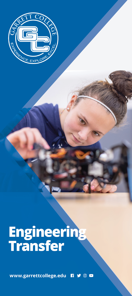

## **Engineering**<br>Transfer

www.garrettcollege.edu RYOD